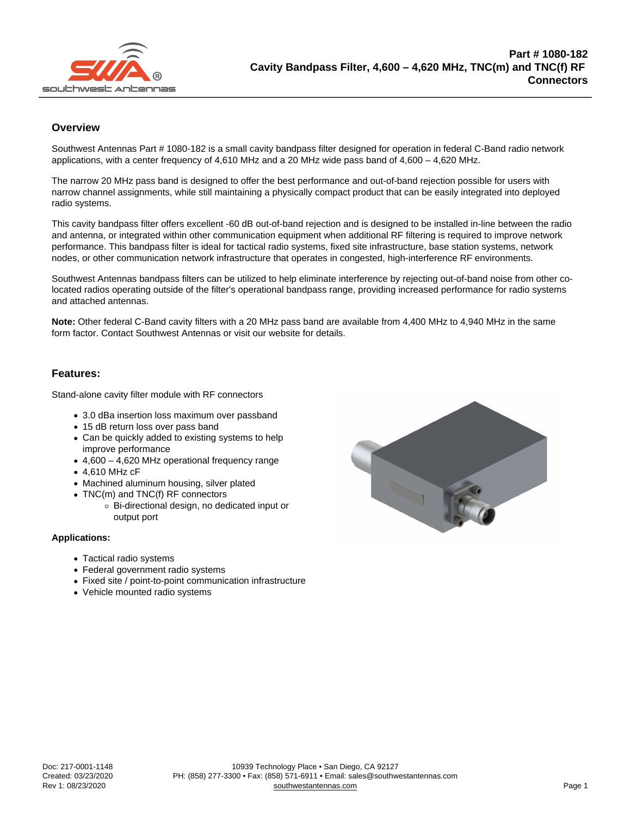## **Overview**

Southwest Antennas Part # 1080-182 is a small cavity bandpass filter designed for operation in federal C-Band radio network applications, with a center frequency of 4,610 MHz and a 20 MHz wide pass band of 4,600 – 4,620 MHz.

The narrow 20 MHz pass band is designed to offer the best performance and out-of-band rejection possible for users with narrow channel assignments, while still maintaining a physically compact product that can be easily integrated into deployed radio systems.

This cavity bandpass filter offers excellent -60 dB out-of-band rejection and is designed to be installed in-line between the radio and antenna, or integrated within other communication equipment when additional RF filtering is required to improve network performance. This bandpass filter is ideal for tactical radio systems, fixed site infrastructure, base station systems, network nodes, or other communication network infrastructure that operates in congested, high-interference RF environments.

Southwest Antennas bandpass filters can be utilized to help eliminate interference by rejecting out-of-band noise from other colocated radios operating outside of the filter's operational bandpass range, providing increased performance for radio systems and attached antennas.

Note: Other federal C-Band cavity filters with a 20 MHz pass band are available from 4,400 MHz to 4,940 MHz in the same form factor. Contact Southwest Antennas or visit our website for details.

## Features:

Stand-alone cavity filter module with RF connectors

- 3.0 dBa insertion loss maximum over passband
- 15 dB return loss over pass band
- Can be quickly added to existing systems to help improve performance
- $\bullet$  4,600 4,620 MHz operational frequency range
- 4,610 MHz cF
- Machined aluminum housing, silver plated
- TNC(m) and TNC(f) RF connectors
	- Bi-directional design, no dedicated input or output port

Applications:

- Tactical radio systems
- Federal government radio systems
- Fixed site / point-to-point communication infrastructure
- Vehicle mounted radio systems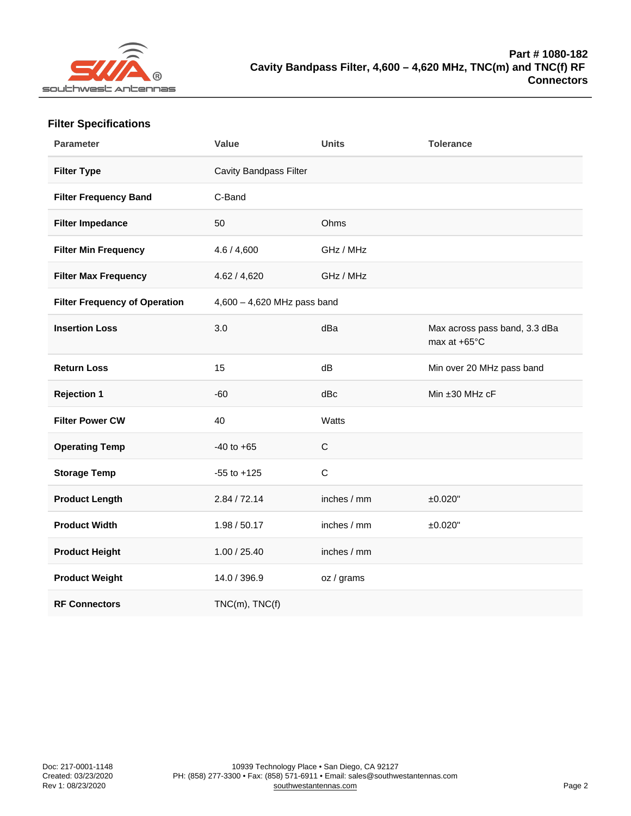| <b>Filter Specifications</b> |
|------------------------------|
|------------------------------|

| Parameter                     | Value                       | Units       | Tolerance                                     |
|-------------------------------|-----------------------------|-------------|-----------------------------------------------|
| Filter Type                   | Cavity Bandpass Filter      |             |                                               |
| Filter Frequency Band         | C-Band                      |             |                                               |
| Filter Impedance              | 50                          | Ohms        |                                               |
| Filter Min Frequency          | 4.6 / 4,600                 | GHz / MHz   |                                               |
| Filter Max Frequency          | 4.62 / 4,620                | GHz / MHz   |                                               |
| Filter Frequency of Operation | 4,600 - 4,620 MHz pass band |             |                                               |
| <b>Insertion Loss</b>         | 3.0                         | dBa         | Max across pass band, 3.3 dBa<br>max at +65°C |
| <b>Return Loss</b>            | 15                          | dB          | Min over 20 MHz pass band                     |
| Rejection 1                   | $-60$                       | dBc         | Min ±30 MHz cF                                |
| Filter Power CW               | 40                          | Watts       |                                               |
| <b>Operating Temp</b>         | $-40$ to $+65$              | $\mathsf C$ |                                               |
| Storage Temp                  | $-55$ to $+125$             | $\mathsf C$ |                                               |
| Product Length                | 2.84 / 72.14                | inches / mm | ±0.020"                                       |
| Product Width                 | 1.98 / 50.17                | inches / mm | ±0.020"                                       |
| Product Height                | 1.00 / 25.40                | inches / mm |                                               |
| Product Weight                | 14.0 / 396.9                | oz / grams  |                                               |
| <b>RF Connectors</b>          | $TNC(m)$ , $TNC(f)$         |             |                                               |